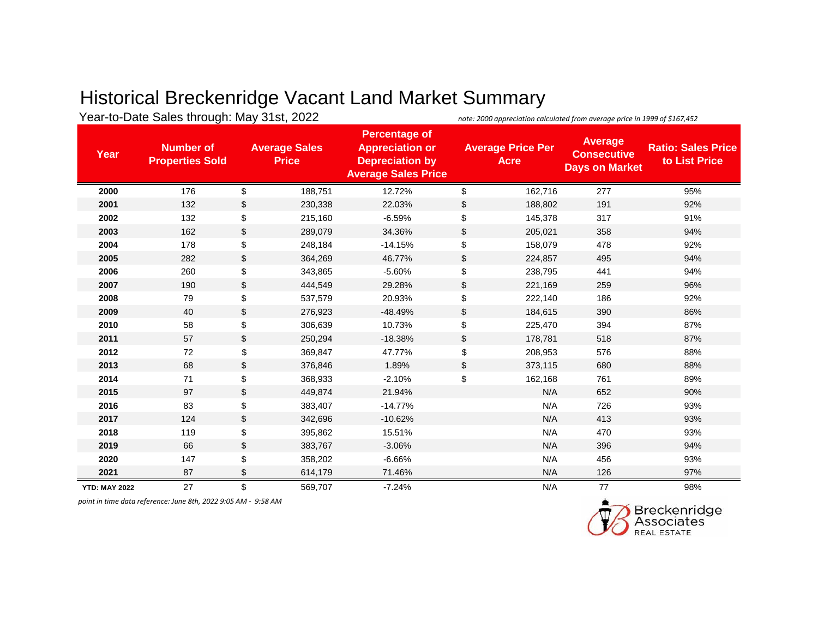## Historical Breckenridge Vacant Land Market Summary

|                      | Year-to-Date Sales through: May 31st, 2022 |                                      |         | note: 2000 appreciation calculated from average price in 1999 of \$167,452                             |                                         |         |                                                               |                                            |
|----------------------|--------------------------------------------|--------------------------------------|---------|--------------------------------------------------------------------------------------------------------|-----------------------------------------|---------|---------------------------------------------------------------|--------------------------------------------|
| Year                 | <b>Number of</b><br><b>Properties Sold</b> | <b>Average Sales</b><br><b>Price</b> |         | <b>Percentage of</b><br><b>Appreciation or</b><br><b>Depreciation by</b><br><b>Average Sales Price</b> | <b>Average Price Per</b><br><b>Acre</b> |         | <b>Average</b><br><b>Consecutive</b><br><b>Days on Market</b> | <b>Ratio: Sales Price</b><br>to List Price |
| 2000                 | 176                                        | \$                                   | 188,751 | 12.72%                                                                                                 | \$                                      | 162,716 | 277                                                           | 95%                                        |
| 2001                 | 132                                        | \$                                   | 230,338 | 22.03%                                                                                                 | \$                                      | 188,802 | 191                                                           | 92%                                        |
| 2002                 | 132                                        | \$                                   | 215,160 | $-6.59%$                                                                                               | \$                                      | 145,378 | 317                                                           | 91%                                        |
| 2003                 | 162                                        | \$                                   | 289,079 | 34.36%                                                                                                 | \$                                      | 205,021 | 358                                                           | 94%                                        |
| 2004                 | 178                                        | \$                                   | 248,184 | $-14.15%$                                                                                              | \$                                      | 158,079 | 478                                                           | 92%                                        |
| 2005                 | 282                                        | \$                                   | 364,269 | 46.77%                                                                                                 | \$                                      | 224,857 | 495                                                           | 94%                                        |
| 2006                 | 260                                        | \$                                   | 343,865 | $-5.60%$                                                                                               | \$                                      | 238,795 | 441                                                           | 94%                                        |
| 2007                 | 190                                        | \$                                   | 444,549 | 29.28%                                                                                                 | \$                                      | 221,169 | 259                                                           | 96%                                        |
| 2008                 | 79                                         | \$                                   | 537,579 | 20.93%                                                                                                 | \$                                      | 222,140 | 186                                                           | 92%                                        |
| 2009                 | 40                                         | \$                                   | 276,923 | $-48.49%$                                                                                              | \$                                      | 184,615 | 390                                                           | 86%                                        |
| 2010                 | 58                                         | \$                                   | 306,639 | 10.73%                                                                                                 | \$                                      | 225,470 | 394                                                           | 87%                                        |
| 2011                 | 57                                         | \$                                   | 250,294 | $-18.38%$                                                                                              | \$                                      | 178,781 | 518                                                           | 87%                                        |
| 2012                 | 72                                         | \$                                   | 369,847 | 47.77%                                                                                                 | \$                                      | 208,953 | 576                                                           | 88%                                        |
| 2013                 | 68                                         | \$                                   | 376,846 | 1.89%                                                                                                  | \$                                      | 373,115 | 680                                                           | 88%                                        |
| 2014                 | 71                                         | \$                                   | 368,933 | $-2.10%$                                                                                               | \$                                      | 162,168 | 761                                                           | 89%                                        |
| 2015                 | 97                                         | \$                                   | 449,874 | 21.94%                                                                                                 |                                         | N/A     | 652                                                           | 90%                                        |
| 2016                 | 83                                         | \$                                   | 383,407 | $-14.77%$                                                                                              |                                         | N/A     | 726                                                           | 93%                                        |
| 2017                 | 124                                        | \$                                   | 342,696 | $-10.62%$                                                                                              |                                         | N/A     | 413                                                           | 93%                                        |
| 2018                 | 119                                        | \$                                   | 395,862 | 15.51%                                                                                                 |                                         | N/A     | 470                                                           | 93%                                        |
| 2019                 | 66                                         | \$                                   | 383,767 | $-3.06%$                                                                                               |                                         | N/A     | 396                                                           | 94%                                        |
| 2020                 | 147                                        | \$                                   | 358,202 | $-6.66%$                                                                                               |                                         | N/A     | 456                                                           | 93%                                        |
| 2021                 | 87                                         | \$                                   | 614,179 | 71.46%                                                                                                 |                                         | N/A     | 126                                                           | 97%                                        |
| <b>YTD: MAY 2022</b> | 27                                         | \$                                   | 569,707 | $-7.24%$                                                                                               |                                         | N/A     | 77                                                            | 98%                                        |

*point in time data reference: June 8th, 2022 9:05 AM - 9:58 AM*

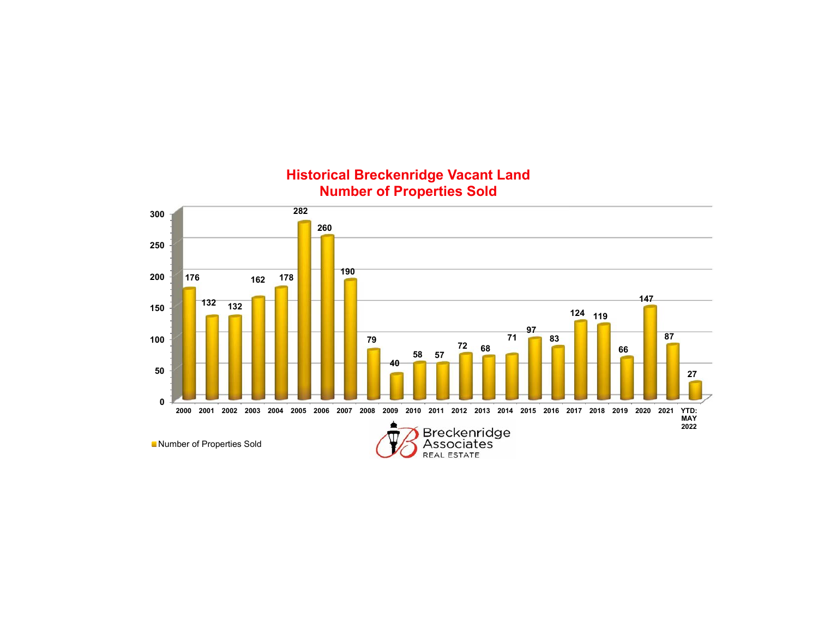

**Historical Breckenridge Vacant Land Number of Properties Sold**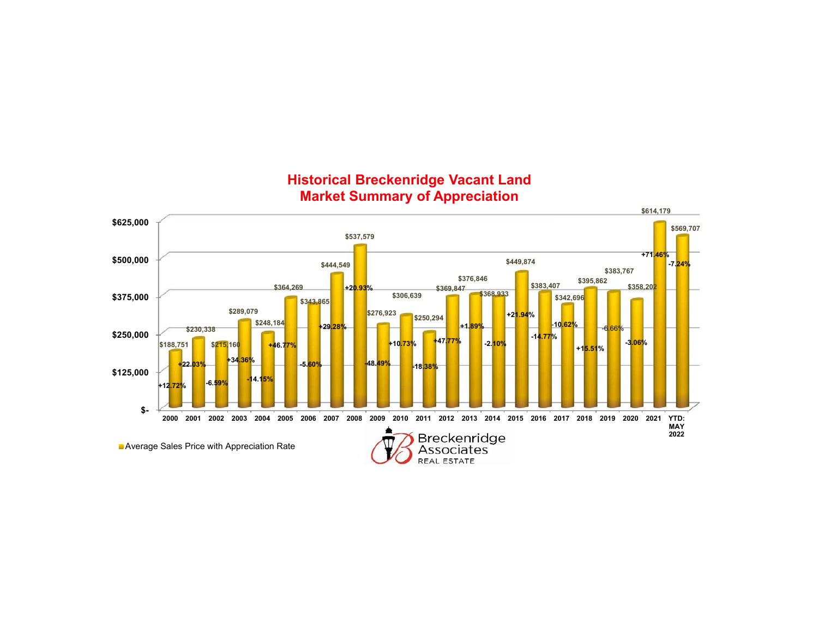

#### **Historical Breckenridge Vacant Land Market Summary of Appreciation**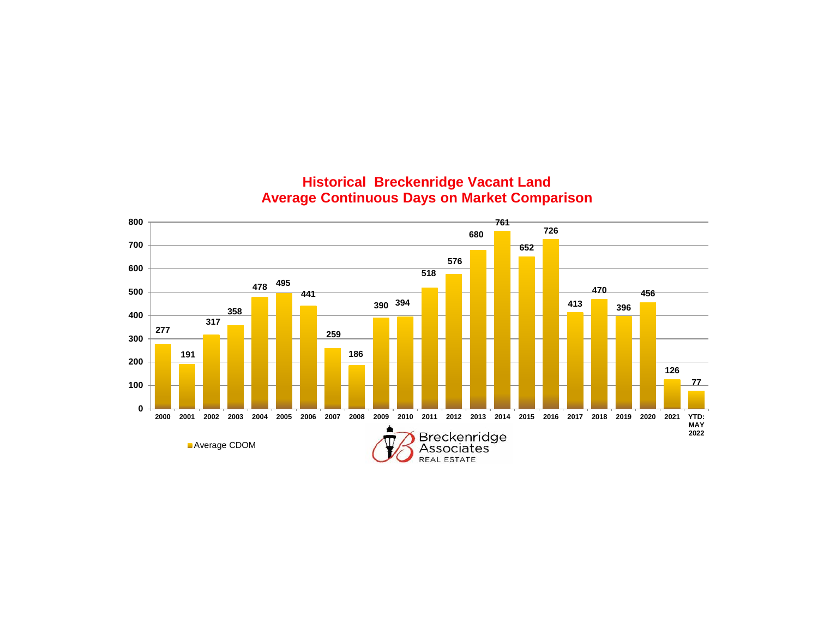

### **Historical Breckenridge Vacant Land Average Continuous Days on Market Comparison**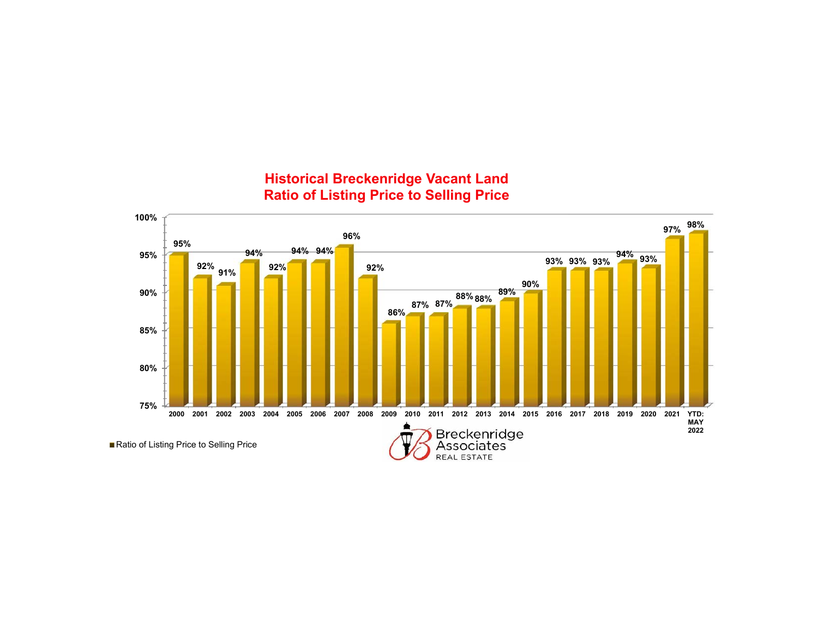

### **Historical Breckenridge Vacant Land Ratio of Listing Price to Selling Price**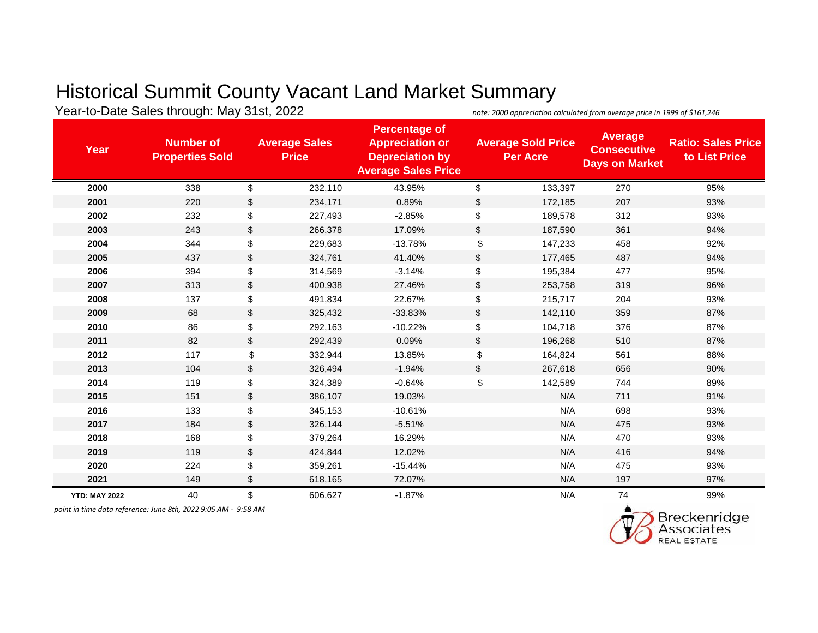# Historical Summit County Vacant Land Market Summary

Year-to-Date Sales through: May 31st, 2022 *note: 2000 appreciation calculated from average price in 1999 of \$161,246* 

| Year                 | <b>Number of</b><br><b>Properties Sold</b> |                | <b>Average Sales</b><br><b>Price</b> | <b>Percentage of</b><br><b>Appreciation or</b><br><b>Depreciation by</b><br><b>Average Sales Price</b> |               | <b>Average Sold Price</b><br><b>Per Acre</b> | <b>Average</b><br><b>Consecutive</b><br><b>Days on Market</b> | <b>Ratio: Sales Price</b><br>to List Price |
|----------------------|--------------------------------------------|----------------|--------------------------------------|--------------------------------------------------------------------------------------------------------|---------------|----------------------------------------------|---------------------------------------------------------------|--------------------------------------------|
| 2000                 | 338                                        | \$             | 232,110                              | 43.95%                                                                                                 | \$            | 133,397                                      | 270                                                           | 95%                                        |
| 2001                 | 220                                        | \$             | 234,171                              | 0.89%                                                                                                  | \$            | 172,185                                      | 207                                                           | 93%                                        |
| 2002                 | 232                                        | \$             | 227,493                              | $-2.85%$                                                                                               | \$            | 189,578                                      | 312                                                           | 93%                                        |
| 2003                 | 243                                        | \$             | 266,378                              | 17.09%                                                                                                 | \$            | 187,590                                      | 361                                                           | 94%                                        |
| 2004                 | 344                                        | \$             | 229,683                              | $-13.78%$                                                                                              | \$            | 147,233                                      | 458                                                           | 92%                                        |
| 2005                 | 437                                        | \$             | 324,761                              | 41.40%                                                                                                 | $\sqrt[6]{2}$ | 177,465                                      | 487                                                           | 94%                                        |
| 2006                 | 394                                        | \$             | 314,569                              | $-3.14%$                                                                                               | \$            | 195,384                                      | 477                                                           | 95%                                        |
| 2007                 | 313                                        | \$             | 400,938                              | 27.46%                                                                                                 | \$            | 253,758                                      | 319                                                           | 96%                                        |
| 2008                 | 137                                        | \$             | 491,834                              | 22.67%                                                                                                 | \$            | 215,717                                      | 204                                                           | 93%                                        |
| 2009                 | 68                                         | $\mathfrak{S}$ | 325,432                              | $-33.83%$                                                                                              | \$            | 142,110                                      | 359                                                           | 87%                                        |
| 2010                 | 86                                         | \$             | 292,163                              | $-10.22%$                                                                                              | \$            | 104,718                                      | 376                                                           | 87%                                        |
| 2011                 | 82                                         | \$             | 292,439                              | 0.09%                                                                                                  | $\sqrt[6]{2}$ | 196,268                                      | 510                                                           | 87%                                        |
| 2012                 | 117                                        | \$             | 332,944                              | 13.85%                                                                                                 | \$            | 164,824                                      | 561                                                           | 88%                                        |
| 2013                 | 104                                        | \$             | 326,494                              | $-1.94%$                                                                                               | \$            | 267,618                                      | 656                                                           | 90%                                        |
| 2014                 | 119                                        | \$             | 324,389                              | $-0.64%$                                                                                               | \$            | 142,589                                      | 744                                                           | 89%                                        |
| 2015                 | 151                                        | \$             | 386,107                              | 19.03%                                                                                                 |               | N/A                                          | 711                                                           | 91%                                        |
| 2016                 | 133                                        | \$             | 345,153                              | $-10.61%$                                                                                              |               | N/A                                          | 698                                                           | 93%                                        |
| 2017                 | 184                                        | $\frac{1}{2}$  | 326,144                              | $-5.51%$                                                                                               |               | N/A                                          | 475                                                           | 93%                                        |
| 2018                 | 168                                        | \$             | 379,264                              | 16.29%                                                                                                 |               | N/A                                          | 470                                                           | 93%                                        |
| 2019                 | 119                                        | \$             | 424,844                              | 12.02%                                                                                                 |               | N/A                                          | 416                                                           | 94%                                        |
| 2020                 | 224                                        | \$             | 359,261                              | $-15.44%$                                                                                              |               | N/A                                          | 475                                                           | 93%                                        |
| 2021                 | 149                                        | \$             | 618,165                              | 72.07%                                                                                                 |               | N/A                                          | 197                                                           | 97%                                        |
| <b>YTD: MAY 2022</b> | 40                                         | \$             | 606,627                              | $-1.87%$                                                                                               |               | N/A                                          | 74                                                            | 99%                                        |

*point in time data reference: June 8th, 2022 9:05 AM - 9:58 AM*

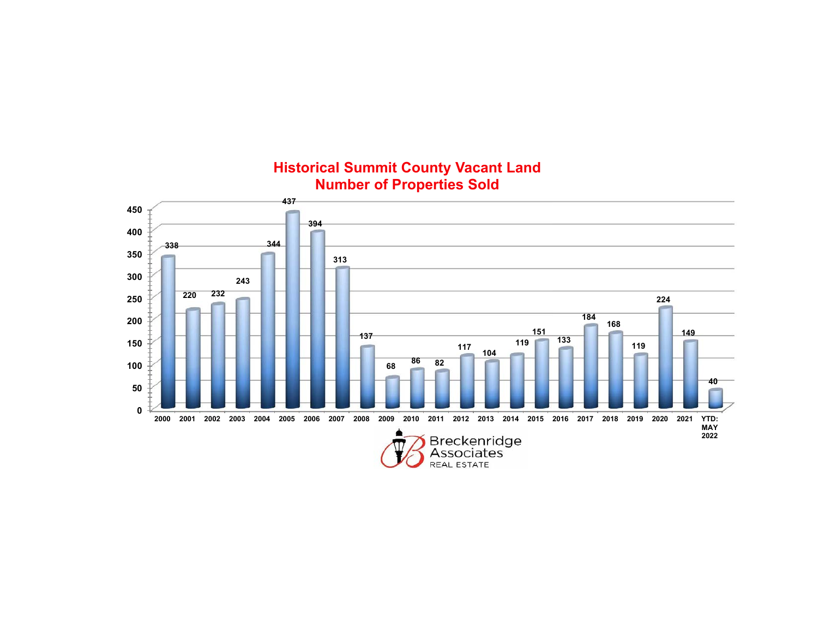

## **Historical Summit County Vacant Land Number of Properties Sold**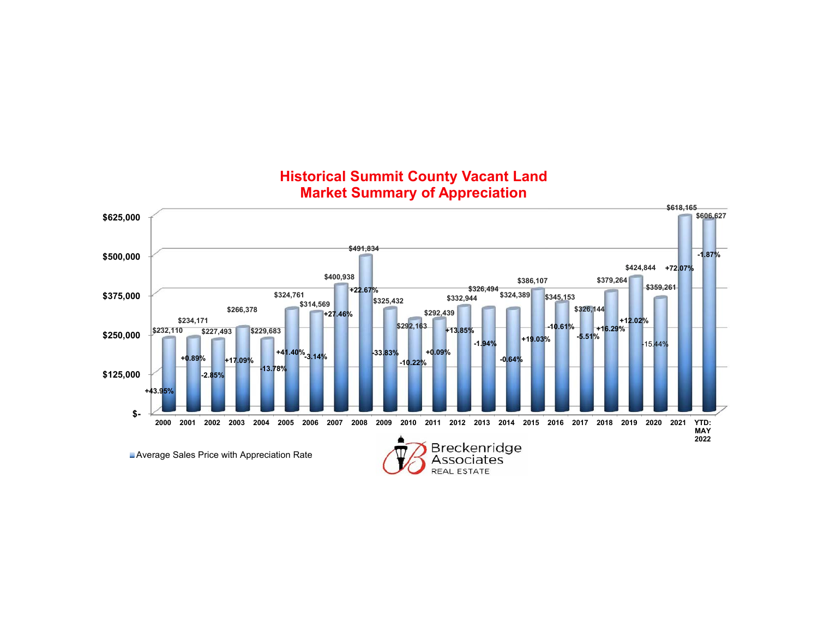

### **Historical Summit County Vacant Land Market Summary of Appreciation**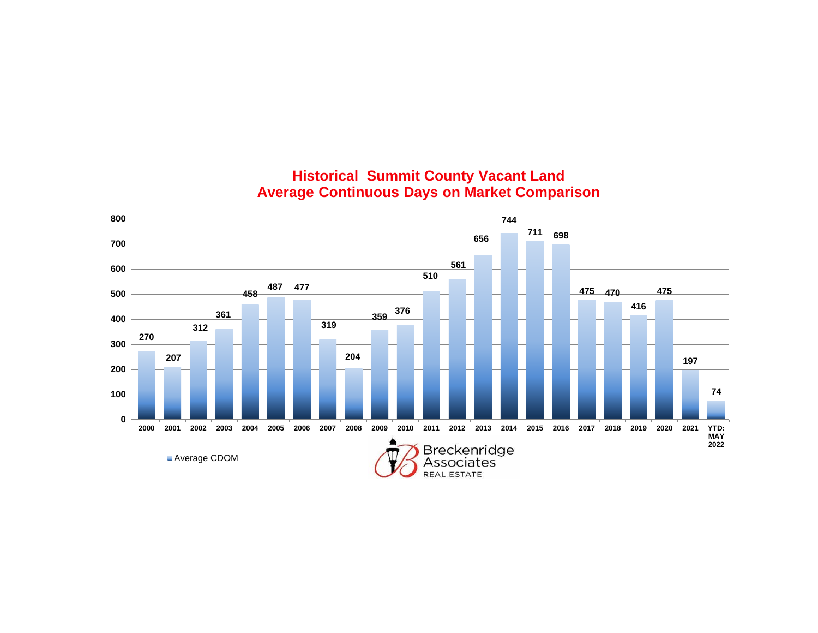

## **Historical Summit County Vacant Land Average Continuous Days on Market Comparison**